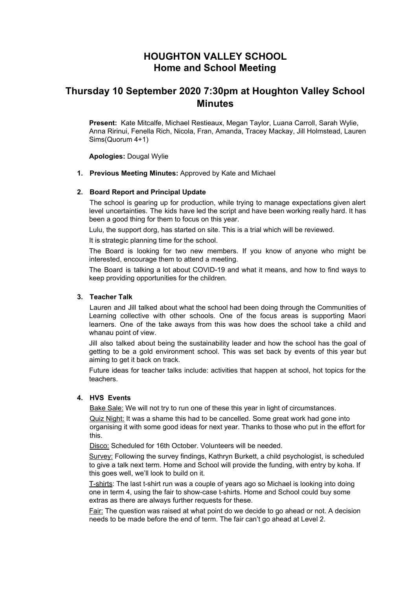# **HOUGHTON VALLEY SCHOOL Home and School Meeting**

# **Thursday 10 September 2020 7:30pm at Houghton Valley School Minutes**

**Present:** Kate Mitcalfe, Michael Restieaux, Megan Taylor, Luana Carroll, Sarah Wylie, Anna Ririnui, Fenella Rich, Nicola, Fran, Amanda, Tracey Mackay, Jill Holmstead, Lauren Sims(Quorum 4+1)

**Apologies:** Dougal Wylie

**1. Previous Meeting Minutes:** Approved by Kate and Michael

#### **2. Board Report and Principal Update**

The school is gearing up for production, while trying to manage expectations given alert level uncertainties. The kids have led the script and have been working really hard. It has been a good thing for them to focus on this year.

Lulu, the support dorg, has started on site. This is a trial which will be reviewed.

It is strategic planning time for the school.

The Board is looking for two new members. If you know of anyone who might be interested, encourage them to attend a meeting.

The Board is talking a lot about COVID-19 and what it means, and how to find ways to keep providing opportunities for the children.

#### **3. Teacher Talk**

Lauren and Jill talked about what the school had been doing through the Communities of Learning collective with other schools. One of the focus areas is supporting Maori learners. One of the take aways from this was how does the school take a child and whanau point of view.

Jill also talked about being the sustainability leader and how the school has the goal of getting to be a gold environment school. This was set back by events of this year but aiming to get it back on track.

Future ideas for teacher talks include: activities that happen at school, hot topics for the teachers.

#### **4. HVS Events**

Bake Sale: We will not try to run one of these this year in light of circumstances.

Quiz Night: It was a shame this had to be cancelled. Some great work had gone into organising it with some good ideas for next year. Thanks to those who put in the effort for this.

Disco: Scheduled for 16th October. Volunteers will be needed.

Survey: Following the survey findings, Kathryn Burkett, a child psychologist, is scheduled to give a talk next term. Home and School will provide the funding, with entry by koha. If this goes well, we'll look to build on it.

T-shirts: The last t-shirt run was a couple of years ago so Michael is looking into doing one in term 4, using the fair to show-case t-shirts. Home and School could buy some extras as there are always further requests for these.

Fair: The question was raised at what point do we decide to go ahead or not. A decision needs to be made before the end of term. The fair can't go ahead at Level 2.